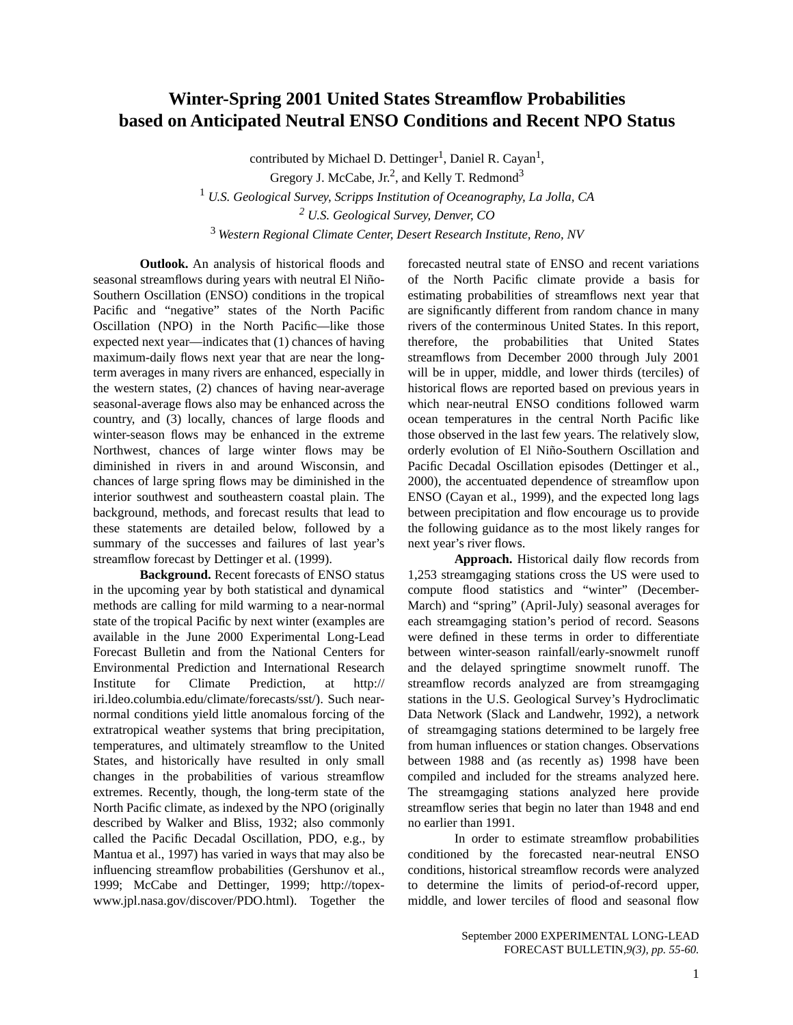## **Winter-Spring 2001 United States Streamflow Probabilities based on Anticipated Neutral ENSO Conditions and Recent NPO Status**

contributed by Michael D. Dettinger<sup>1</sup>, Daniel R. Cayan<sup>1</sup>, Gregory J. McCabe, Jr.<sup>2</sup>, and Kelly T. Redmond<sup>3</sup> <sup>1</sup> *U.S. Geological Survey, Scripps Institution of Oceanography, La Jolla, CA*

*2 U.S. Geological Survey, Denver, CO*

<sup>3</sup> *Western Regional Climate Center, Desert Research Institute, Reno, NV*

**Outlook.** An analysis of historical floods and seasonal streamflows during years with neutral El Niño-Southern Oscillation (ENSO) conditions in the tropical Pacific and "negative" states of the North Pacific Oscillation (NPO) in the North Pacific—like those expected next year—indicates that (1) chances of having maximum-daily flows next year that are near the longterm averages in many rivers are enhanced, especially in the western states, (2) chances of having near-average seasonal-average flows also may be enhanced across the country, and (3) locally, chances of large floods and winter-season flows may be enhanced in the extreme Northwest, chances of large winter flows may be diminished in rivers in and around Wisconsin, and chances of large spring flows may be diminished in the interior southwest and southeastern coastal plain. The background, methods, and forecast results that lead to these statements are detailed below, followed by a summary of the successes and failures of last year's streamflow forecast by Dettinger et al. (1999).

**Background.** Recent forecasts of ENSO status in the upcoming year by both statistical and dynamical methods are calling for mild warming to a near-normal state of the tropical Pacific by next winter (examples are available in the June 2000 Experimental Long-Lead Forecast Bulletin and from the National Centers for Environmental Prediction and International Research Institute for Climate Prediction, at http:// iri.ldeo.columbia.edu/climate/forecasts/sst/). Such nearnormal conditions yield little anomalous forcing of the extratropical weather systems that bring precipitation, temperatures, and ultimately streamflow to the United States, and historically have resulted in only small changes in the probabilities of various streamflow extremes. Recently, though, the long-term state of the North Pacific climate, as indexed by the NPO (originally described by Walker and Bliss, 1932; also commonly called the Pacific Decadal Oscillation, PDO, e.g., by Mantua et al., 1997) has varied in ways that may also be influencing streamflow probabilities (Gershunov et al., 1999; McCabe and Dettinger, 1999; http://topexwww.jpl.nasa.gov/discover/PDO.html). Together the

forecasted neutral state of ENSO and recent variations of the North Pacific climate provide a basis for estimating probabilities of streamflows next year that are significantly different from random chance in many rivers of the conterminous United States. In this report, therefore, the probabilities that United States streamflows from December 2000 through July 2001 will be in upper, middle, and lower thirds (terciles) of historical flows are reported based on previous years in which near-neutral ENSO conditions followed warm ocean temperatures in the central North Pacific like those observed in the last few years. The relatively slow, orderly evolution of El Niño-Southern Oscillation and Pacific Decadal Oscillation episodes (Dettinger et al., 2000), the accentuated dependence of streamflow upon ENSO (Cayan et al., 1999), and the expected long lags between precipitation and flow encourage us to provide the following guidance as to the most likely ranges for next year's river flows.

**Approach.** Historical daily flow records from 1,253 streamgaging stations cross the US were used to compute flood statistics and "winter" (December-March) and "spring" (April-July) seasonal averages for each streamgaging station's period of record. Seasons were defined in these terms in order to differentiate between winter-season rainfall/early-snowmelt runoff and the delayed springtime snowmelt runoff. The streamflow records analyzed are from streamgaging stations in the U.S. Geological Survey's Hydroclimatic Data Network (Slack and Landwehr, 1992), a network of streamgaging stations determined to be largely free from human influences or station changes. Observations between 1988 and (as recently as) 1998 have been compiled and included for the streams analyzed here. The streamgaging stations analyzed here provide streamflow series that begin no later than 1948 and end no earlier than 1991.

In order to estimate streamflow probabilities conditioned by the forecasted near-neutral ENSO conditions, historical streamflow records were analyzed to determine the limits of period-of-record upper, middle, and lower terciles of flood and seasonal flow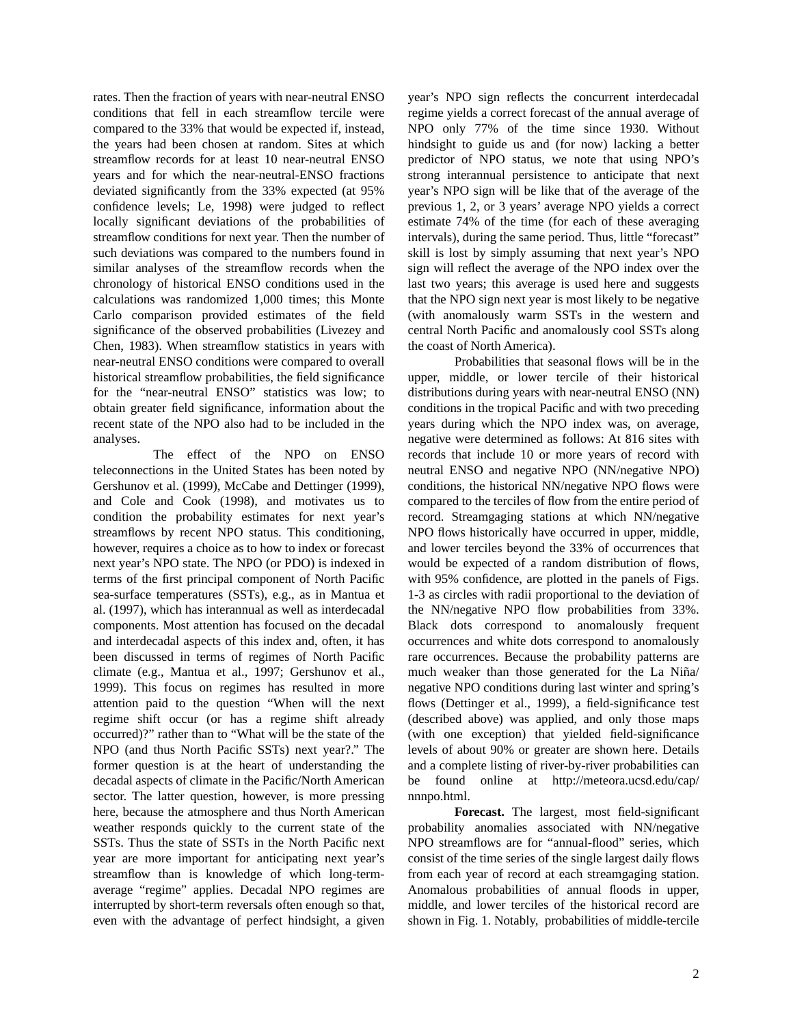rates. Then the fraction of years with near-neutral ENSO conditions that fell in each streamflow tercile were compared to the 33% that would be expected if, instead, the years had been chosen at random. Sites at which streamflow records for at least 10 near-neutral ENSO years and for which the near-neutral-ENSO fractions deviated significantly from the 33% expected (at 95% confidence levels; Le, 1998) were judged to reflect locally significant deviations of the probabilities of streamflow conditions for next year. Then the number of such deviations was compared to the numbers found in similar analyses of the streamflow records when the chronology of historical ENSO conditions used in the calculations was randomized 1,000 times; this Monte Carlo comparison provided estimates of the field significance of the observed probabilities (Livezey and Chen, 1983). When streamflow statistics in years with near-neutral ENSO conditions were compared to overall historical streamflow probabilities, the field significance for the "near-neutral ENSO" statistics was low; to obtain greater field significance, information about the recent state of the NPO also had to be included in the analyses.

The effect of the NPO on ENSO teleconnections in the United States has been noted by Gershunov et al. (1999), McCabe and Dettinger (1999), and Cole and Cook (1998), and motivates us to condition the probability estimates for next year's streamflows by recent NPO status. This conditioning, however, requires a choice as to how to index or forecast next year's NPO state. The NPO (or PDO) is indexed in terms of the first principal component of North Pacific sea-surface temperatures (SSTs), e.g., as in Mantua et al. (1997), which has interannual as well as interdecadal components. Most attention has focused on the decadal and interdecadal aspects of this index and, often, it has been discussed in terms of regimes of North Pacific climate (e.g., Mantua et al., 1997; Gershunov et al., 1999). This focus on regimes has resulted in more attention paid to the question "When will the next regime shift occur (or has a regime shift already occurred)?" rather than to "What will be the state of the NPO (and thus North Pacific SSTs) next year?." The former question is at the heart of understanding the decadal aspects of climate in the Pacific/North American sector. The latter question, however, is more pressing here, because the atmosphere and thus North American weather responds quickly to the current state of the SSTs. Thus the state of SSTs in the North Pacific next year are more important for anticipating next year's streamflow than is knowledge of which long-termaverage "regime" applies. Decadal NPO regimes are interrupted by short-term reversals often enough so that, even with the advantage of perfect hindsight, a given year's NPO sign reflects the concurrent interdecadal regime yields a correct forecast of the annual average of NPO only 77% of the time since 1930. Without hindsight to guide us and (for now) lacking a better predictor of NPO status, we note that using NPO's strong interannual persistence to anticipate that next year's NPO sign will be like that of the average of the previous 1, 2, or 3 years' average NPO yields a correct estimate 74% of the time (for each of these averaging intervals), during the same period. Thus, little "forecast" skill is lost by simply assuming that next year's NPO sign will reflect the average of the NPO index over the last two years; this average is used here and suggests that the NPO sign next year is most likely to be negative (with anomalously warm SSTs in the western and central North Pacific and anomalously cool SSTs along the coast of North America).

Probabilities that seasonal flows will be in the upper, middle, or lower tercile of their historical distributions during years with near-neutral ENSO (NN) conditions in the tropical Pacific and with two preceding years during which the NPO index was, on average, negative were determined as follows: At 816 sites with records that include 10 or more years of record with neutral ENSO and negative NPO (NN/negative NPO) conditions, the historical NN/negative NPO flows were compared to the terciles of flow from the entire period of record. Streamgaging stations at which NN/negative NPO flows historically have occurred in upper, middle, and lower terciles beyond the 33% of occurrences that would be expected of a random distribution of flows, with 95% confidence, are plotted in the panels of Figs. 1-3 as circles with radii proportional to the deviation of the NN/negative NPO flow probabilities from 33%. Black dots correspond to anomalously frequent occurrences and white dots correspond to anomalously rare occurrences. Because the probability patterns are much weaker than those generated for the La Niña/ negative NPO conditions during last winter and spring's flows (Dettinger et al., 1999), a field-significance test (described above) was applied, and only those maps (with one exception) that yielded field-significance levels of about 90% or greater are shown here. Details and a complete listing of river-by-river probabilities can be found online at http://meteora.ucsd.edu/cap/ nnnpo.html.

**Forecast.** The largest, most field-significant probability anomalies associated with NN/negative NPO streamflows are for "annual-flood" series, which consist of the time series of the single largest daily flows from each year of record at each streamgaging station. Anomalous probabilities of annual floods in upper, middle, and lower terciles of the historical record are shown in Fig. 1. Notably, probabilities of middle-tercile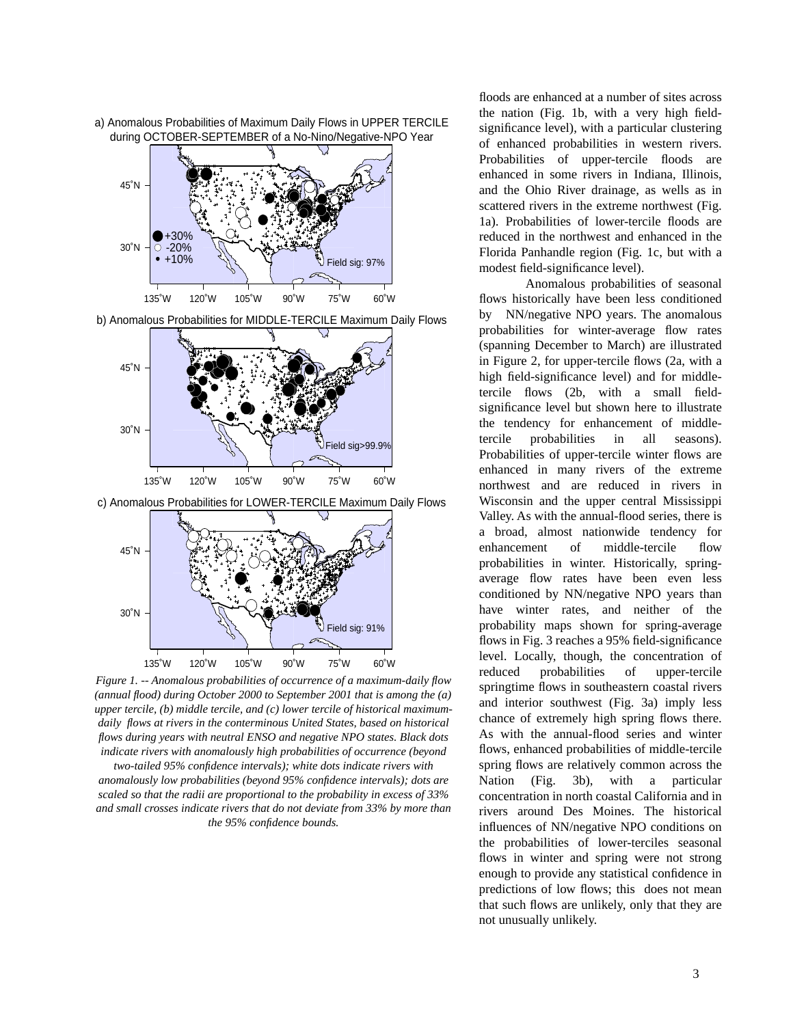

a) Anomalous Probabilities of Maximum Daily Flows in UPPER TERCILE during OCTOBER-SEPTEMBER of a No-Nino/Negative-NPO Year

b) Anomalous Probabilities for MIDDLE-TERCILE Maximum Daily Flows



c) Anomalous Probabilities for LOWER-TERCILE Maximum Daily Flows



*Figure 1. -- Anomalous probabilities of occurrence of a maximum-daily flow (annual flood) during October 2000 to September 2001 that is among the (a) upper tercile, (b) middle tercile, and (c) lower tercile of historical maximumdaily flows at rivers in the conterminous United States, based on historical*  flows during years with neutral ENSO and negative NPO states. Black dots *indicate rivers with anomalously high probabilities of occurrence (beyond* 

*two-tailed 95% confidence intervals); white dots indicate rivers with anomalously low probabilities (beyond 95% confidence intervals); dots are scaled so that the radii are proportional to the probability in excess of 33% and small crosses indicate rivers that do not deviate from 33% by more than the 95% confidence bounds.* 

floods are enhanced at a number of sites across the nation (Fig. 1b, with a very high fieldsignificance level), with a particular clustering of enhanced probabilities in western rivers. Probabilities of upper-tercile floods are enhanced in some rivers in Indiana, Illinois, and the Ohio River drainage, as wells as in scattered rivers in the extreme northwest (Fig. 1a). Probabilities of lower-tercile floods are reduced in the northwest and enhanced in the Florida Panhandle region (Fig. 1c, but with a modest field-significance level).

Anomalous probabilities of seasonal flows historically have been less conditioned by NN/negative NPO years. The anomalous probabilities for winter-average flow rates (spanning December to March) are illustrated in Figure 2, for upper-tercile flows (2a, with a high field-significance level) and for middletercile flows (2b, with a small fieldsignificance level but shown here to illustrate the tendency for enhancement of middletercile probabilities in all seasons). Probabilities of upper-tercile winter flows are enhanced in many rivers of the extreme northwest and are reduced in rivers in Wisconsin and the upper central Mississippi Valley. As with the annual-flood series, there is a broad, almost nationwide tendency for enhancement of middle-tercile flow probabilities in winter. Historically, springaverage flow rates have been even less conditioned by NN/negative NPO years than have winter rates, and neither of the probability maps shown for spring-average flows in Fig. 3 reaches a 95% field-significance level. Locally, though, the concentration of reduced probabilities of upper-tercile springtime flows in southeastern coastal rivers and interior southwest (Fig. 3a) imply less chance of extremely high spring flows there. As with the annual-flood series and winter flows, enhanced probabilities of middle-tercile spring flows are relatively common across the Nation (Fig. 3b), with a particular concentration in north coastal California and in rivers around Des Moines. The historical influences of NN/negative NPO conditions on the probabilities of lower-terciles seasonal flows in winter and spring were not strong enough to provide any statistical confidence in predictions of low flows; this does not mean that such flows are unlikely, only that they are not unusually unlikely.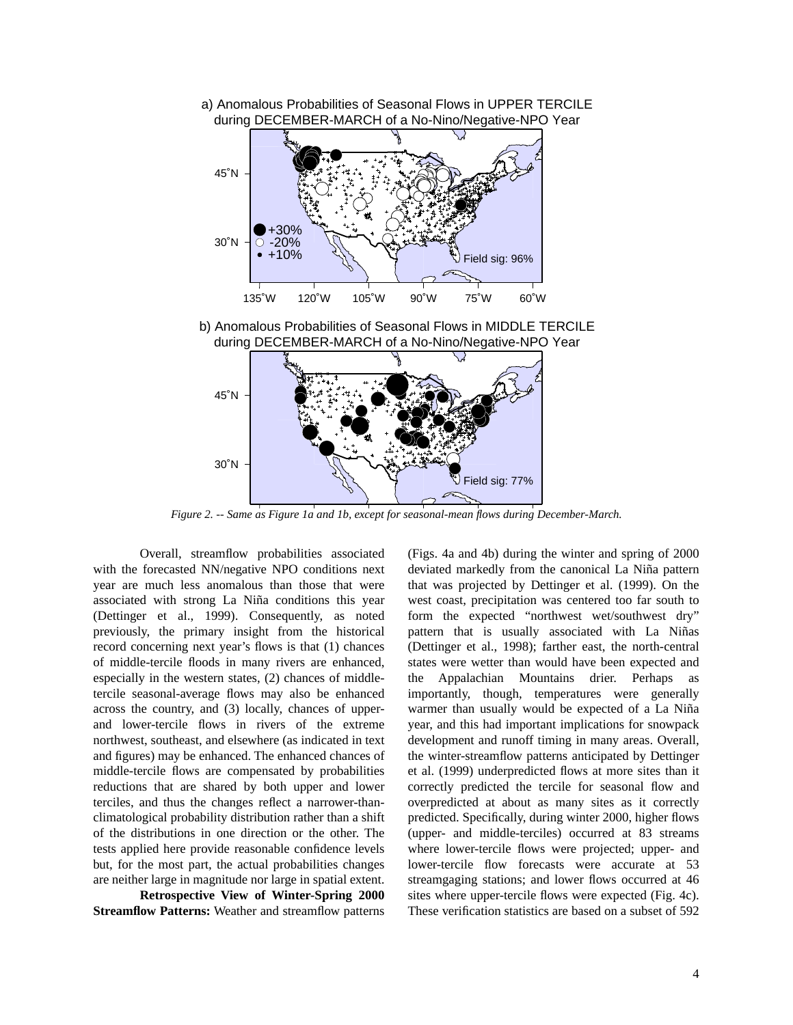

Figure 2. -- Same as Figure 1a and 1b, except for seasonal-mean flows during December-March.

Overall, streamflow probabilities associated with the forecasted NN/negative NPO conditions next year are much less anomalous than those that were associated with strong La Niña conditions this year (Dettinger et al., 1999). Consequently, as noted previously, the primary insight from the historical record concerning next year's flows is that (1) chances of middle-tercile floods in many rivers are enhanced, especially in the western states, (2) chances of middletercile seasonal-average flows may also be enhanced across the country, and (3) locally, chances of upperand lower-tercile flows in rivers of the extreme northwest, southeast, and elsewhere (as indicated in text and figures) may be enhanced. The enhanced chances of middle-tercile flows are compensated by probabilities reductions that are shared by both upper and lower terciles, and thus the changes reflect a narrower-thanclimatological probability distribution rather than a shift of the distributions in one direction or the other. The tests applied here provide reasonable confidence levels but, for the most part, the actual probabilities changes are neither large in magnitude nor large in spatial extent.

**Retrospective View of Winter-Spring 2000 Streamflow Patterns:** Weather and streamflow patterns (Figs. 4a and 4b) during the winter and spring of 2000 deviated markedly from the canonical La Niña pattern that was projected by Dettinger et al. (1999). On the west coast, precipitation was centered too far south to form the expected "northwest wet/southwest dry" pattern that is usually associated with La Niñas (Dettinger et al., 1998); farther east, the north-central states were wetter than would have been expected and the Appalachian Mountains drier. Perhaps as importantly, though, temperatures were generally warmer than usually would be expected of a La Niña year, and this had important implications for snowpack development and runoff timing in many areas. Overall, the winter-streamflow patterns anticipated by Dettinger et al. (1999) underpredicted flows at more sites than it correctly predicted the tercile for seasonal flow and overpredicted at about as many sites as it correctly predicted. Specifically, during winter 2000, higher flows (upper- and middle-terciles) occurred at 83 streams where lower-tercile flows were projected; upper- and lower-tercile flow forecasts were accurate at 53 streamgaging stations; and lower flows occurred at 46 sites where upper-tercile flows were expected (Fig. 4c). These verification statistics are based on a subset of 592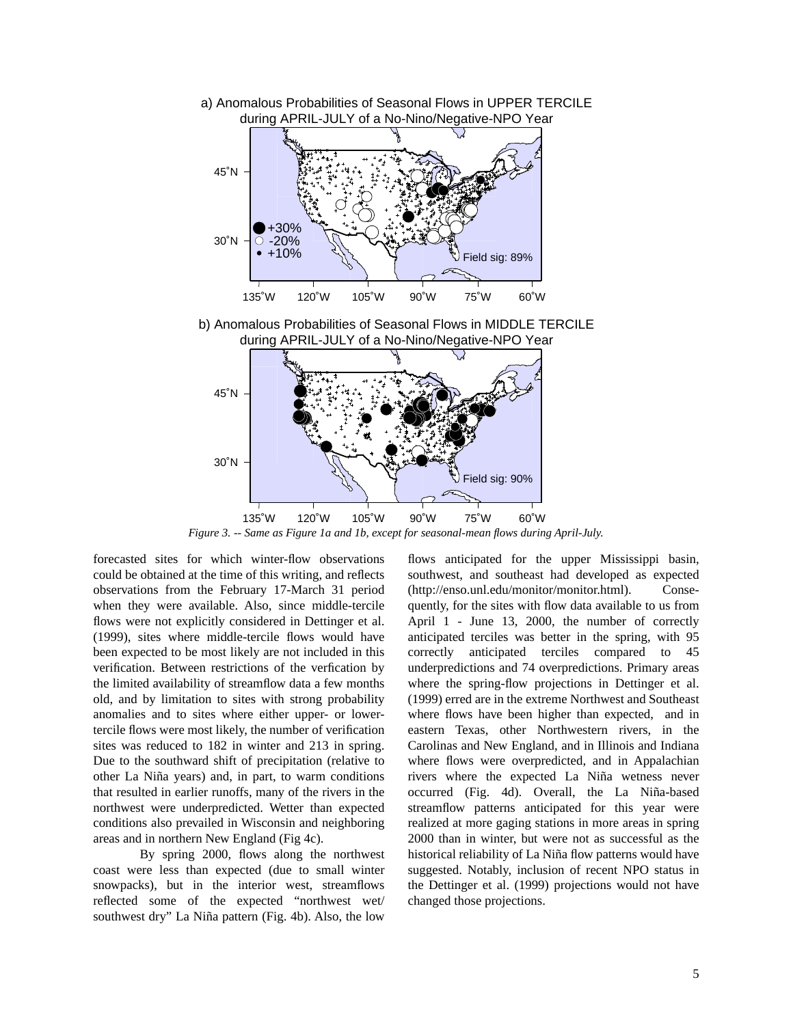

a) Anomalous Probabilities of Seasonal Flows in UPPER TERCILE during APRIL-JULY of a No-Nino/Negative-NPO Year

*Figure 3. -- Same as Figure 1a and 1b, except for seasonal-mean flows during April-July.*

forecasted sites for which winter-flow observations could be obtained at the time of this writing, and reflects observations from the February 17-March 31 period when they were available. Also, since middle-tercile flows were not explicitly considered in Dettinger et al. (1999), sites where middle-tercile flows would have been expected to be most likely are not included in this verification. Between restrictions of the verfication by the limited availability of streamflow data a few months old, and by limitation to sites with strong probability anomalies and to sites where either upper- or lowertercile flows were most likely, the number of verification sites was reduced to 182 in winter and 213 in spring. Due to the southward shift of precipitation (relative to other La Niña years) and, in part, to warm conditions that resulted in earlier runoffs, many of the rivers in the northwest were underpredicted. Wetter than expected conditions also prevailed in Wisconsin and neighboring areas and in northern New England (Fig 4c).

By spring 2000, flows along the northwest coast were less than expected (due to small winter snowpacks), but in the interior west, streamflows reflected some of the expected "northwest wet/ southwest dry" La Niña pattern (Fig. 4b). Also, the low flows anticipated for the upper Mississippi basin, southwest, and southeast had developed as expected (http://enso.unl.edu/monitor/monitor.html). Consequently, for the sites with flow data available to us from April 1 - June 13, 2000, the number of correctly anticipated terciles was better in the spring, with 95 correctly anticipated terciles compared to 45 underpredictions and 74 overpredictions. Primary areas where the spring-flow projections in Dettinger et al. (1999) erred are in the extreme Northwest and Southeast where flows have been higher than expected, and in eastern Texas, other Northwestern rivers, in the Carolinas and New England, and in Illinois and Indiana where flows were overpredicted, and in Appalachian rivers where the expected La Niña wetness never occurred (Fig. 4d). Overall, the La Niña-based streamflow patterns anticipated for this year were realized at more gaging stations in more areas in spring 2000 than in winter, but were not as successful as the historical reliability of La Niña flow patterns would have suggested. Notably, inclusion of recent NPO status in the Dettinger et al. (1999) projections would not have changed those projections.